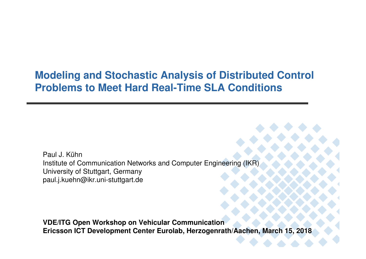## **Modeling and Stochastic Analysis of Distributed Control Problems to Meet Hard Real-Time SLA Conditions**

Paul J. Kühn Institute of Communication Networks and Computer Engineering (IKR)University of Stuttgart, Germanypaul.j.kuehn@ikr.uni-stuttgart.de

**VDE/ITG Open Workshop on Vehicular CommunicationEricsson ICT Development Center Eurolab, Herzogenrath/Aachen, March 15, 2018**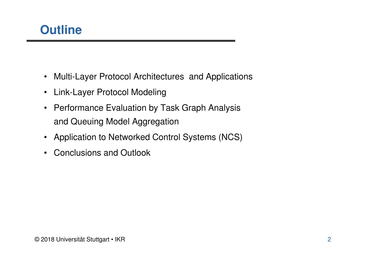

- Multi-Layer Protocol Architectures and Applications
- Link-Layer Protocol Modeling
- Performance Evaluation by Task Graph Analysisand Queuing Model Aggregation
- Application to Networked Control Systems (NCS)
- $\bullet$ Conclusions and Outlook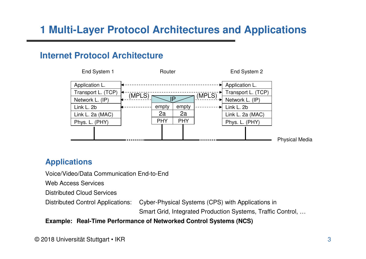# **1 Multi-Layer Protocol Architectures and Applications**

#### **Internet Protocol Architecture**



#### **Applications**

Voice/Video/Data Communication End-to-End

Web Access Services

Distributed Cloud Services

Distributed Control Applications: Cyber-Physical Systems (CPS) with Applications in

Smart Grid, Integrated Production Systems, Traffic Control, …

#### **Example: Real-Time Performance of Networked Control Systems (NCS)**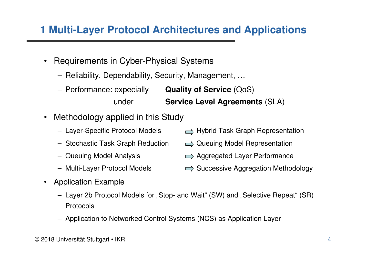## **1 Multi-Layer Protocol Architectures and Applications**

- Requirements in Cyber-Physical Systems
	- Reliability, Dependability, Security, Management, …
	- **Quality of Service** (QoS) – Performance: expeciallyunder**Service Level Agreements** (SLA)
- $\bullet$  Methodology applied in this Study
	- Layer-Specific Protocol Models
	-
	- Queuing Model Analysis
	- Multi-Layer Protocol Models
- Application Example
	- Layer 2b Protocol Models for "Stop- and Wait" (SW) and "Selective Repeat" (SR) Protocols
	- Application to Networked Control Systems (NCS) as Application Layer
- $\implies$  Hybrid Task Graph Representation
- Stochastic Task Graph Reduction  $\quad \implies$  Queuing Model Representation
	- $\implies$  Aggregated Layer Performance
	- $\implies$  Successive Aggregation Methodology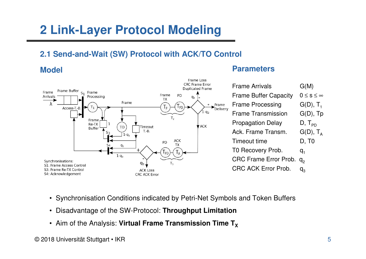# **2 Link-Layer Protocol Modeling**

### **2.1 Send-and-Wait (SW) Protocol with ACK/TO Control**

**Model**



#### **Parameters**

| <b>Frame Arrivals</b>        | G(M)                   |
|------------------------------|------------------------|
| <b>Frame Buffer Capacity</b> | $0 \leq s \leq \infty$ |
| <b>Frame Processing</b>      | $G(D), T_1$            |
| <b>Frame Transmission</b>    | $G(D)$ , Tp            |
| <b>Propagation Delay</b>     | $D, T_{\text{PD}}$     |
| Ack. Frame Transm.           | $G(D)$ , $T_A$         |
| <b>Timeout time</b>          | D, T0                  |
| T0 Recovery Prob.            | q,                     |
| <b>CRC Frame Error Prob.</b> | q,                     |
| <b>CRC ACK Error Prob.</b>   |                        |
|                              |                        |

• Synchronisation Conditions indicated by Petri-Net Symbols and Token Buffers

Frame Loss

- Disadvantage of the SW-Protocol: **Throughput Limitation**
- $\bm{\cdot}$  Aim of the Analysis: **Virtual Frame Transmission Time T** $_{\bm{\mathsf{X}}}$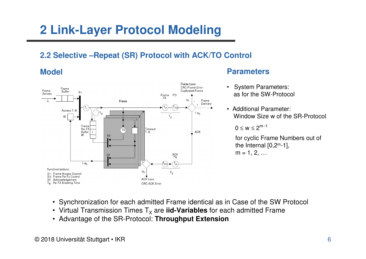# **2 Link-Layer Protocol Modeling**

### **2.2 Selective –Repeat (SR) Protocol with ACK/TO Control**

#### **Model**



#### **Parameters**

- • System Parameters: as for the SW-Protocol
- Additional Parameter: Window Size w of the SR-Protocol

 $0 \le w \le 2^{m-1}$ 

for cyclic Frame Numbers out of the Internal  $[0,2^m-1]$ ,  $m = 1, 2, ...$ 

- Synchronization for each admitted Frame identical as in Case of the SW Protocol
- Virtual Transmission Times T<sub>x</sub> are **iid-Variables** for each admitted Frame
- Advantage of the SR-Protocol: **Throughput Extension**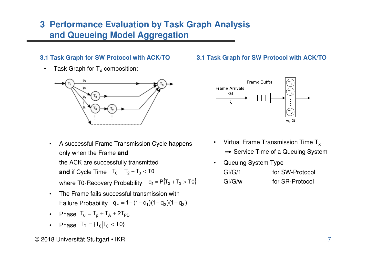### **3 Performance Evaluation by Task Graph Analysis and Queueing Model Aggregation**

#### **3.1 Task Graph for SW Protocol with ACK/TO**

 $\bullet$ Task Graph for  $T_{\chi}$  composition:



- **and** if Cycle Time  $T_0 = T_2 + T_3 < T0$ • A successful Frame Transmission Cycle happensonly when the Frame **and**the ACK are successfully transmittedwhere T0-Recovery Probability  $q_1 = P{T_2 + T_3} > T0\}$
- • The Frame fails successful transmission withFailure Probability  $q_F = 1 - (1 - q_1)(1 - q_2)(1 - q_3)$
- •Phase  $T_0 = T_p + T_A + 2T_{PD}$
- •Phase  $T_R = {T_0 | T_0 < T_0}$

# **3.1 Task Graph for SW Protocol with ACK/TO**



- •Virtual Frame Transmission Time  $T_{x}$ Service Time of a Queuing System
- • Queuing System TypeGI/G/1 for SW-Protocol GI/G/w for SR-Protocol

© 2018 Universität Stuttgart • IKR $\mathsf R$  , and  $\mathsf R$  are the set of  $\mathsf R$  and  $\mathsf R$  are the set of  $\mathsf R$  and  $\mathsf R$  are the set of  $\mathsf R$  and  $\mathsf R$  are the set of  $\mathsf R$  and  $\mathsf R$  are the set of  $\mathsf R$  and  $\mathsf R$  are the set of  $\mathsf R$  and  $\mathsf R$  are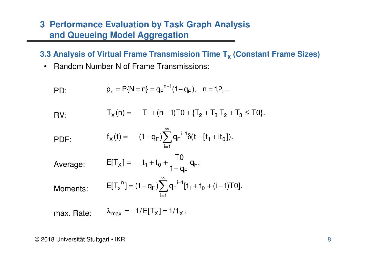### **3 Performance Evaluation by Task Graph Analysis and Queueing Model Aggregation**

**3.3 Analysis of Virtual Frame Transmission Time T<sup>X</sup> (Constant Frame Sizes)**

• Random Number N of Frame Transmissions:

PD: 
$$
p_n = P{N = n} = q_F^{n-1}(1 - q_F), \quad n = 1, 2, ...
$$

$$
F_X(n) = T_1 + (n-1)T0 + \{T_2 + T_3 | T_2 + T_3 \le T0\}.
$$

PDF: 
$$
f_X(t) = (1 - q_F) \sum_{i=1}^{\infty} q_F^{-i-1} \delta(t - [t_1 + it_0]).
$$

Average: 
$$
E[T_x] = t_1 + t_0 + \frac{T0}{1 - q_F} q_F
$$
.

Moments:

$$
E[T_x^{\ n}] = (1 - q_F) \sum_{i=1}^{\infty} q_F^{i-1} [t_1 + t_0 + (i - 1) \text{TO}].
$$

max. Rate: $\lambda_{\text{max}} = 1 / \text{E}[T_{\text{X}}] = 1 / t_{\text{X}}$ .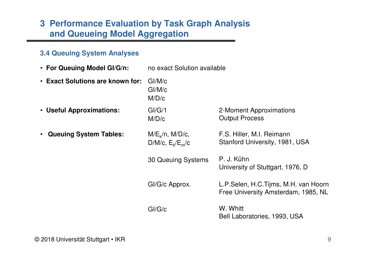### **3 Performance Evaluation by Task Graph Analysis and Queueing Model Aggregation**

#### **3.4 Queuing System Analyses**

- **For Queuing Model GI/G/n:** no exact Solution available
- 2-Moment ApproximationsOutput ProcessGI/G/1 M/D/c• **Useful Approximations:** F.S. Hiller, M.I. Reimann Stanford University, 1981, USAP. J. Kühn University of Stuttgart, 1976, DL.P.Selen, H.C.Tijms, M.H. van Hoorn Free University Amsterdam, 1985, NLW. WhittBell Laboratories, 1993, USA $M/E_k/n$ ,  $M/D/c$ , D/M/c,  $E_k/E_m/c$ 30 Queuing SystemsGI/G/c Approx.GI/G/c• **Queuing System Tables:** GI/M/c GI/M/c M/D/c• **Exact Solutions are known for:**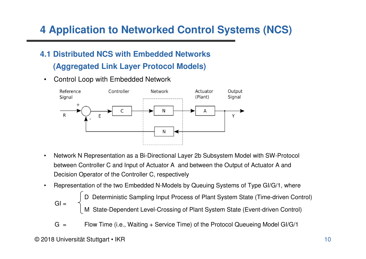## **4.1 Distributed NCS with Embedded Networks(Aggregated Link Layer Protocol Models)**

 $\bullet$ Control Loop with Embedded Network



- • Network N Representation as a Bi-Directional Layer 2b Subsystem Model with SW-Protocol between Controller C and Input of Actuator A and between the Output of Actuator A and Decision Operator of the Controller C, respectively
- • Representation of the two Embedded N-Models by Queuing Systems of Type GI/G/1, where
	- M State-Dependent Level-Crossing of Plant System State (Event-driven Control) D Deterministic Sampling Input Process of Plant System State (Time-driven Control)  $Gl =$
	- $G =$ Flow Time (i.e., Waiting + Service Time) of the Protocol Queueing Model GI/G/1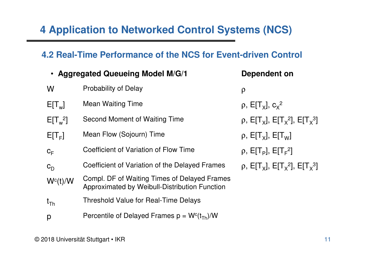## **4.2 Real-Time Performance of the NCS for Event-driven Control**

|            | • Aggregated Queueing Model M/G/1                                                             | Dependent on                                                                            |
|------------|-----------------------------------------------------------------------------------------------|-----------------------------------------------------------------------------------------|
| W          | <b>Probability of Delay</b>                                                                   | $\rho$                                                                                  |
| $E[T_w]$   | <b>Mean Waiting Time</b>                                                                      | $\rho$ , E[T <sub>x</sub> ], $c_x^2$                                                    |
| $E[T_w^2]$ | Second Moment of Waiting Time                                                                 | ρ, Ε[T <sub>x</sub> ], Ε[T <sub>x</sub> <sup>2</sup> ], Ε[T <sub>x</sub> <sup>3</sup> ] |
| $E[T_F]$   | Mean Flow (Sojourn) Time                                                                      | $\rho$ , E[T <sub>x</sub> ], E[T <sub>w</sub> ]                                         |
| $C_F$      | Coefficient of Variation of Flow Time                                                         | $\rho$ , E[T <sub>p</sub> ], E[T <sub>F</sub> <sup>2</sup> ]                            |
| $c_{D}$    | Coefficient of Variation of the Delayed Frames                                                | ρ, Ε[T <sub>x</sub> ], Ε[T <sub>x</sub> <sup>2</sup> ], Ε[T <sub>x</sub> <sup>3</sup> ] |
| $W^c(t)/W$ | Compl. DF of Waiting Times of Delayed Frames<br>Approximated by Weibull-Distribution Function |                                                                                         |
| $t_{Th}$   | Threshold Value for Real-Time Delays                                                          |                                                                                         |
| p          | Percentile of Delayed Frames $p = Wc(tTh)/W$                                                  |                                                                                         |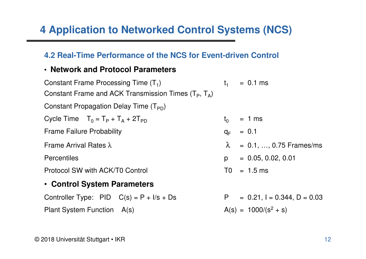### **4.2 Real-Time Performance of the NCS for Event-driven Control**

### • **Network and Protocol Parameters**

| Constant Frame Processing Time $(T_1)$                        | $t_{1}$  | $= 0.1$ ms                          |  |  |  |  |
|---------------------------------------------------------------|----------|-------------------------------------|--|--|--|--|
| Constant Frame and ACK Transmission Times $(T_P, T_A)$        |          |                                     |  |  |  |  |
| Constant Propagation Delay Time $(T_{\text{PD}})$             |          |                                     |  |  |  |  |
| Cycle Time $T_0 = T_P + T_A + 2T_{PD}$<br>$= 1$ ms<br>$t_{0}$ |          |                                     |  |  |  |  |
| <b>Frame Failure Probability</b>                              | $q_F$    | $= 0.1$                             |  |  |  |  |
| Frame Arrival Rates $\lambda$                                 |          | $\lambda = 0.1, , 0.75$ Frames/ms   |  |  |  |  |
| Percentiles                                                   | <b>p</b> | $= 0.05, 0.02, 0.01$                |  |  |  |  |
| Protocol SW with ACK/T0 Control                               |          | $T0 = 1.5$ ms                       |  |  |  |  |
| • Control System Parameters                                   |          |                                     |  |  |  |  |
| Controller Type: $PID$ $C(s) = P + I/s + Ds$                  | P =      | $= 0.21$ , $I = 0.344$ , $D = 0.03$ |  |  |  |  |
| Plant System Function A(s)                                    |          | $A(s) = 1000/(s^2 + s)$             |  |  |  |  |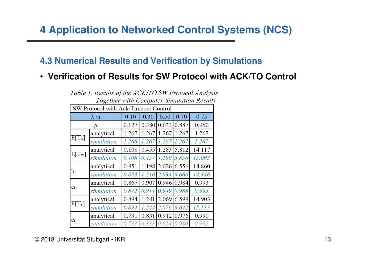### **4.3 Numerical Results and Verification by Simulations**

## • **Verification of Results for SW Protocol with ACK/TO Control**

| 10, Suiter waar Compater Sanadardii Resau |            |       |       |       |               |        |  |
|-------------------------------------------|------------|-------|-------|-------|---------------|--------|--|
| SW Protocol with Ack/Timeout Control      |            |       |       |       |               |        |  |
| $\lambda/n$                               |            | 0.10  | 0.30  | 0.50  | 0.70          | 0.75   |  |
| ρ                                         |            | 0.127 | 0.380 | 0.633 | 0.887         | 0.950  |  |
| $E[T_{X}]$                                | analytical | 1.267 | 1.267 | 1.267 | 1.267         | 1.267  |  |
|                                           | simulation | 1.266 | 1.267 | 1.267 | 1.267         | 1.267  |  |
| $E[T_w]$                                  | analytical | 0.108 | 0.455 |       | 1.283 5.812   | 14.117 |  |
|                                           | simulation | 0.108 | 0.457 |       | $1.290$ 5.856 | 15.093 |  |
|                                           | analytical | 0.851 | 1.198 | 2.026 | 6.556         | 14.860 |  |
| $t_D$                                     | simulation | 0.853 | 1.210 | 2.034 | 6.660         | 14.346 |  |
| $\mathbf{c}_\mathrm{D}$                   | analytical | 0.867 | 0.907 |       | 0.946 0.984   | 0.993  |  |
|                                           | simulation | 0.872 | 0.911 | 0.949 | 0.988         | 0.995  |  |
| $E[T_F]$                                  | analytical | 0.894 | 1.241 | 2.069 | 6.599         | 14.903 |  |
|                                           | simulation | 0.894 | 1.244 | 2.076 | 6.642         | 15.133 |  |
|                                           | analytical | 0.731 | 0.831 | 0.912 | 0.976         | 0.990  |  |
| $\mathbf{C}_{\text{F}}$                   | simulation | 0.733 | 0.833 | 0.914 | 0.980         | 0.992  |  |

#### Table 1. Results of the ACK/TO SW Protocol Analysis **Together with Computer Simulation Results**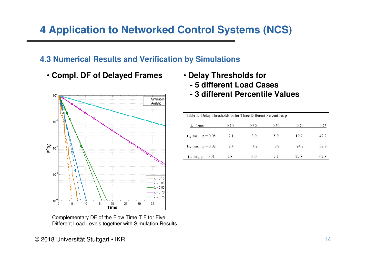### **4.3 Numerical Results and Verification by Simulations**

• **Compl. DF of Delayed Frames**



Different Load Levels together with Simulation Results

- **Delay Thresholds for**
	- **- 5 different Load Cases**
	- **- 3 different Percentile Values**

| Table 1. Delay Thresholds t <sub>Th</sub> for Three Different Percentiles p |      |      |      |      |      |  |  |
|-----------------------------------------------------------------------------|------|------|------|------|------|--|--|
| $\lambda$ 1/ms                                                              | 0.10 | 0.30 | 0.50 | 0.70 | 0.75 |  |  |
| $t_{Th}$ ms, $p = 0.05$                                                     | 2.1  | 3.9  | 5.9  | 19.7 | 42.2 |  |  |
| $t_{Th}$ ms, $p = 0.02$                                                     | 2.4  | 4.2  | 8.9  | 24.7 | 57.8 |  |  |
| $t_{\text{Th}}$ ms, $p = 0.01$                                              | 2.8  | 5.0  | 9.2  | 29.8 | 67.8 |  |  |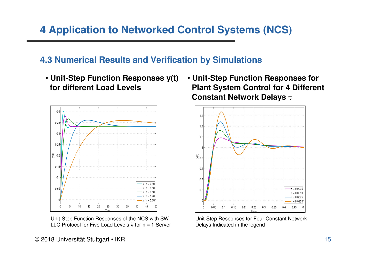### **4.3 Numerical Results and Verification by Simulations**

• **Unit-Step Function Responses y(t) for different Load Levels**



Unit-Step Function Responses of the NCS with SW LLC Protocol for Five Load Levels  $\lambda$  for  $n = 1$  Server

• **Unit-Step Function Responses for Plant System Control for 4 DifferentConstant Network Delays** <sup>τ</sup>



Unit-Step Responses for Four Constant NetworkDelays Indicated in the legend